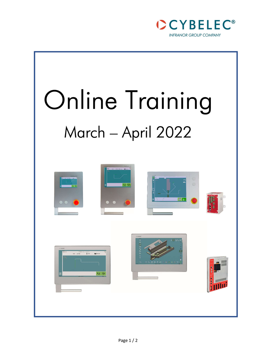

# Online Training March – April 2022